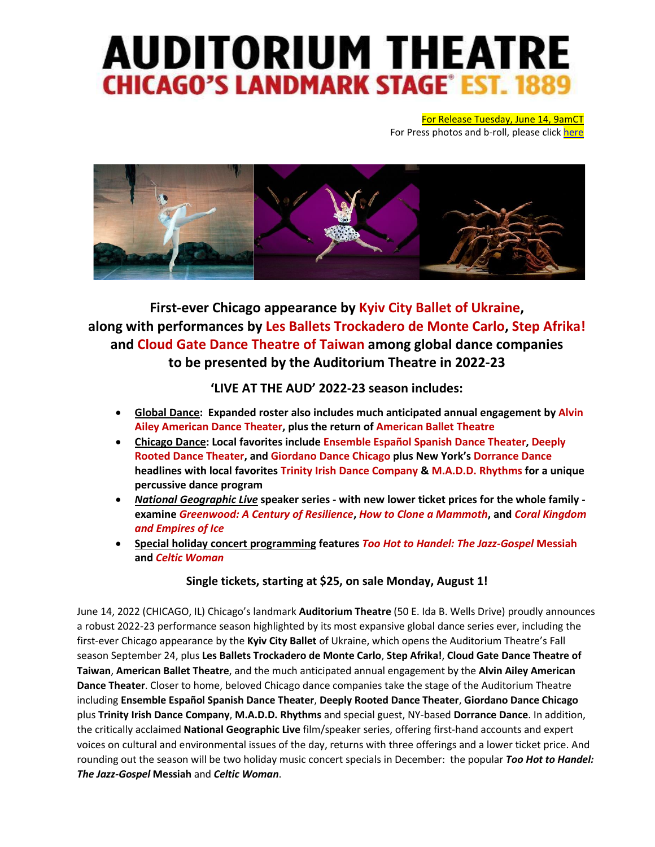# **AUDITORIUM THEATRE CHICAGO'S LANDMARK STAGE° EST. 1889**

For Release Tuesday, June 14, 9amCT For Press photos and b-roll, please click [here](https://www.dropbox.com/sh/jksg39scww8bks9/AAD7JSbjM3nE6zyNLKv7mq_ia?dl=0)



# **First-ever Chicago appearance by Kyiv City Ballet of Ukraine, along with performances by Les Ballets Trockadero de Monte Carlo, Step Afrika! and Cloud Gate Dance Theatre of Taiwan among global dance companies to be presented by the Auditorium Theatre in 2022-23**

**'LIVE AT THE AUD' 2022-23 season includes:**

- **Global Dance: Expanded roster also includes much anticipated annual engagement by Alvin Ailey American Dance Theater, plus the return of American Ballet Theatre**
- **Chicago Dance: Local favorites include Ensemble Español Spanish Dance Theater, Deeply Rooted Dance Theater, and Giordano Dance Chicago plus New York's Dorrance Dance headlines with local favorites Trinity Irish Dance Company & M.A.D.D. Rhythms for a unique percussive dance program**
- *National Geographic Live* **speaker series - with new lower ticket prices for the whole family examine** *Greenwood: A Century of Resilience***,** *How to Clone a Mammoth***, and** *Coral Kingdom and Empires of Ice*
- **Special holiday concert programming features** *Too Hot to Handel: The Jazz-Gospel* **Messiah and** *Celtic Woman*

# **Single tickets, starting at \$25, on sale Monday, August 1!**

June 14, 2022 (CHICAGO, IL) Chicago's landmark **Auditorium Theatre** (50 E. Ida B. Wells Drive) proudly announces a robust 2022-23 performance season highlighted by its most expansive global dance series ever, including the first-ever Chicago appearance by the **Kyiv City Ballet** of Ukraine, which opens the Auditorium Theatre's Fall season September 24, plus **Les Ballets Trockadero de Monte Carlo**, **Step Afrika!**, **Cloud Gate Dance Theatre of Taiwan**, **American Ballet Theatre**, and the much anticipated annual engagement by the **Alvin Ailey American Dance Theater**. Closer to home, beloved Chicago dance companies take the stage of the Auditorium Theatre including **Ensemble Español Spanish Dance Theater**, **Deeply Rooted Dance Theater**, **Giordano Dance Chicago** plus **Trinity Irish Dance Company**, **M.A.D.D. Rhythms** and special guest, NY-based **Dorrance Dance**. In addition, the critically acclaimed **National Geographic Live** film/speaker series, offering first-hand accounts and expert voices on cultural and environmental issues of the day, returns with three offerings and a lower ticket price. And rounding out the season will be two holiday music concert specials in December: the popular *Too Hot to Handel: The Jazz-Gospel* **Messiah** and *Celtic Woman*.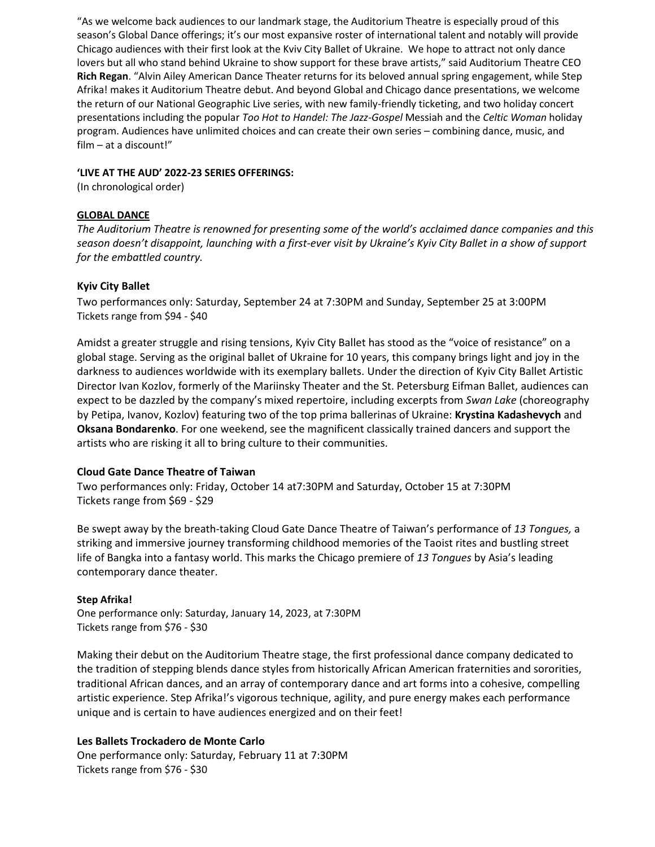"As we welcome back audiences to our landmark stage, the Auditorium Theatre is especially proud of this season's Global Dance offerings; it's our most expansive roster of international talent and notably will provide Chicago audiences with their first look at the Kviv City Ballet of Ukraine. We hope to attract not only dance lovers but all who stand behind Ukraine to show support for these brave artists," said Auditorium Theatre CEO **Rich Regan**. "Alvin Ailey American Dance Theater returns for its beloved annual spring engagement, while Step Afrika! makes it Auditorium Theatre debut. And beyond Global and Chicago dance presentations, we welcome the return of our National Geographic Live series, with new family-friendly ticketing, and two holiday concert presentations including the popular *Too Hot to Handel: The Jazz-Gospel* Messiah and the *Celtic Woman* holiday program. Audiences have unlimited choices and can create their own series – combining dance, music, and film – at a discount!"

#### **'LIVE AT THE AUD' 2022-23 SERIES OFFERINGS:**

(In chronological order)

# **GLOBAL DANCE**

*The Auditorium Theatre is renowned for presenting some of the world's acclaimed dance companies and this season doesn't disappoint, launching with a first-ever visit by Ukraine's Kyiv City Ballet in a show of support for the embattled country.* 

# **Kyiv City Ballet**

Two performances only: Saturday, September 24 at 7:30PM and Sunday, September 25 at 3:00PM Tickets range from \$94 - \$40

Amidst a greater struggle and rising tensions, Kyiv City Ballet has stood as the "voice of resistance" on a global stage. Serving as the original ballet of Ukraine for 10 years, this company brings light and joy in the darkness to audiences worldwide with its exemplary ballets. Under the direction of Kyiv City Ballet Artistic Director Ivan Kozlov, formerly of the Mariinsky Theater and the St. Petersburg Eifman Ballet, audiences can expect to be dazzled by the company's mixed repertoire, including excerpts from *Swan Lake* (choreography by Petipa, Ivanov, Kozlov) featuring two of the top prima ballerinas of Ukraine: **Krystina Kadashevych** and **Oksana Bondarenko**. For one weekend, see the magnificent classically trained dancers and support the artists who are risking it all to bring culture to their communities.

# **Cloud Gate Dance Theatre of Taiwan**

Two performances only: Friday, October 14 at7:30PM and Saturday, October 15 at 7:30PM Tickets range from \$69 - \$29

Be swept away by the breath-taking Cloud Gate Dance Theatre of Taiwan's performance of *13 Tongues,* a striking and immersive journey transforming childhood memories of the Taoist rites and bustling street life of Bangka into a fantasy world. This marks the Chicago premiere of *13 Tongues* by Asia's leading contemporary dance theater.

# **Step Afrika!**

One performance only: Saturday, January 14, 2023, at 7:30PM Tickets range from \$76 - \$30

Making their debut on the Auditorium Theatre stage, the first professional dance company dedicated to the tradition of stepping blends dance styles from historically African American fraternities and sororities, traditional African dances, and an array of contemporary dance and art forms into a cohesive, compelling artistic experience. Step Afrika!'s vigorous technique, agility, and pure energy makes each performance unique and is certain to have audiences energized and on their feet!

# **Les Ballets Trockadero de Monte Carlo**

One performance only: Saturday, February 11 at 7:30PM Tickets range from \$76 - \$30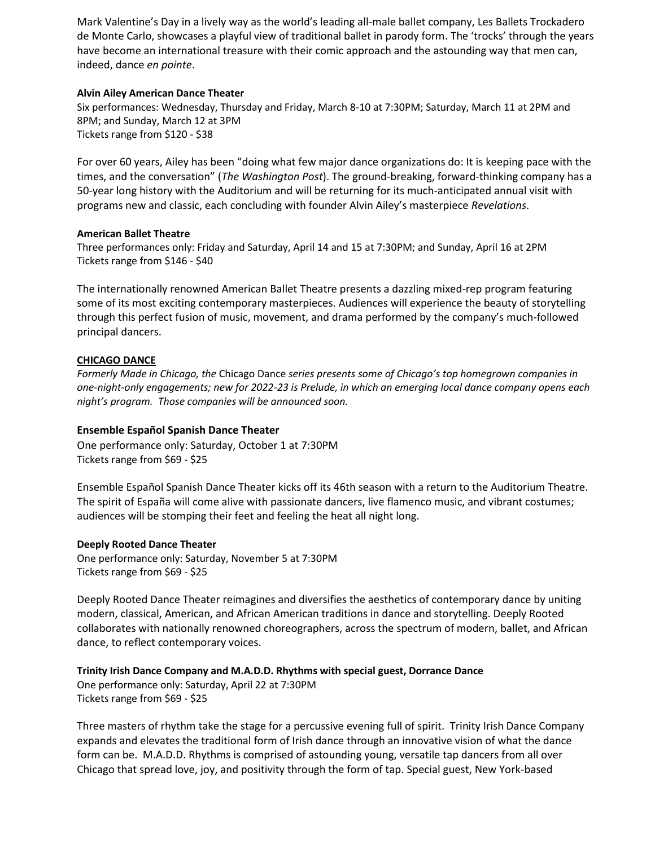Mark Valentine's Day in a lively way as the world's leading all-male ballet company, Les Ballets Trockadero de Monte Carlo, showcases a playful view of traditional ballet in parody form. The 'trocks' through the years have become an international treasure with their comic approach and the astounding way that men can, indeed, dance *en pointe*.

#### **Alvin Ailey American Dance Theater**

Six performances: Wednesday, Thursday and Friday, March 8-10 at 7:30PM; Saturday, March 11 at 2PM and 8PM; and Sunday, March 12 at 3PM Tickets range from \$120 - \$38

For over 60 years, Ailey has been "doing what few major dance organizations do: It is keeping pace with the times, and the conversation" (*The Washington Post*). The ground-breaking, forward-thinking company has a 50-year long history with the Auditorium and will be returning for its much-anticipated annual visit with programs new and classic, each concluding with founder Alvin Ailey's masterpiece *Revelations*.

#### **American Ballet Theatre**

Three performances only: Friday and Saturday, April 14 and 15 at 7:30PM; and Sunday, April 16 at 2PM Tickets range from \$146 - \$40

The internationally renowned American Ballet Theatre presents a dazzling mixed-rep program featuring some of its most exciting contemporary masterpieces. Audiences will experience the beauty of storytelling through this perfect fusion of music, movement, and drama performed by the company's much-followed principal dancers.

# **CHICAGO DANCE**

*Formerly Made in Chicago, the* Chicago Dance *series presents some of Chicago's top homegrown companies in one-night-only engagements; new for 2022-23 is Prelude, in which an emerging local dance company opens each night's program. Those companies will be announced soon.* 

# **Ensemble Español Spanish Dance Theater**

One performance only: Saturday, October 1 at 7:30PM Tickets range from \$69 - \$25

Ensemble Español Spanish Dance Theater kicks off its 46th season with a return to the Auditorium Theatre. The spirit of España will come alive with passionate dancers, live flamenco music, and vibrant costumes; audiences will be stomping their feet and feeling the heat all night long.

#### **Deeply Rooted Dance Theater**

One performance only: Saturday, November 5 at 7:30PM Tickets range from \$69 - \$25

Deeply Rooted Dance Theater reimagines and diversifies the aesthetics of contemporary dance by uniting modern, classical, American, and African American traditions in dance and storytelling. Deeply Rooted collaborates with nationally renowned choreographers, across the spectrum of modern, ballet, and African dance, to reflect contemporary voices.

#### **Trinity Irish Dance Company and M.A.D.D. Rhythms with special guest, Dorrance Dance**

One performance only: Saturday, April 22 at 7:30PM Tickets range from \$69 - \$25

Three masters of rhythm take the stage for a percussive evening full of spirit. Trinity Irish Dance Company expands and elevates the traditional form of Irish dance through an innovative vision of what the dance form can be. M.A.D.D. Rhythms is comprised of astounding young, versatile tap dancers from all over Chicago that spread love, joy, and positivity through the form of tap. Special guest, New York-based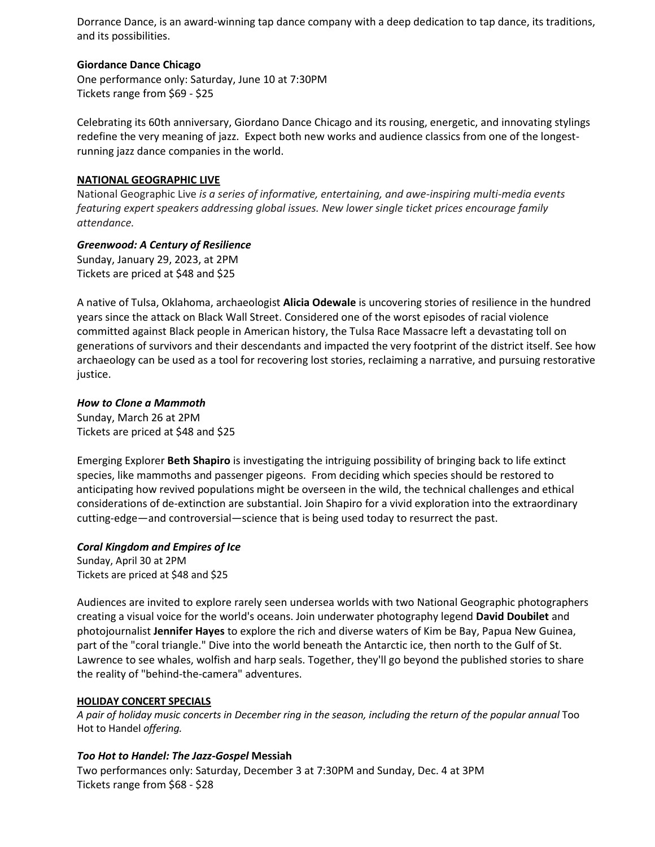Dorrance Dance, is an award-winning tap dance company with a deep dedication to tap dance, its traditions, and its possibilities.

### **Giordance Dance Chicago**

One performance only: Saturday, June 10 at 7:30PM Tickets range from \$69 - \$25

Celebrating its 60th anniversary, Giordano Dance Chicago and its rousing, energetic, and innovating stylings redefine the very meaning of jazz. Expect both new works and audience classics from one of the longestrunning jazz dance companies in the world.

# **NATIONAL GEOGRAPHIC LIVE**

National Geographic Live *is a series of informative, entertaining, and awe-inspiring multi-media events featuring expert speakers addressing global issues. New lower single ticket prices encourage family attendance.* 

# *Greenwood: A Century of Resilience*

Sunday, January 29, 2023, at 2PM Tickets are priced at \$48 and \$25

A native of Tulsa, Oklahoma, archaeologist **Alicia Odewale** is uncovering stories of resilience in the hundred years since the attack on Black Wall Street. Considered one of the worst episodes of racial violence committed against Black people in American history, the Tulsa Race Massacre left a devastating toll on generations of survivors and their descendants and impacted the very footprint of the district itself. See how archaeology can be used as a tool for recovering lost stories, reclaiming a narrative, and pursuing restorative justice.

# *How to Clone a Mammoth*

Sunday, March 26 at 2PM Tickets are priced at \$48 and \$25

Emerging Explorer **Beth Shapiro** is investigating the intriguing possibility of bringing back to life extinct species, like mammoths and passenger pigeons. From deciding which species should be restored to anticipating how revived populations might be overseen in the wild, the technical challenges and ethical considerations of de-extinction are substantial. Join Shapiro for a vivid exploration into the extraordinary cutting-edge—and controversial—science that is being used today to resurrect the past.

# *Coral Kingdom and Empires of Ice*

Sunday, April 30 at 2PM Tickets are priced at \$48 and \$25

Audiences are invited to explore rarely seen undersea worlds with two National Geographic photographers creating a visual voice for the world's oceans. Join underwater photography legend **David Doubilet** and photojournalist **Jennifer Hayes** to explore the rich and diverse waters of Kim be Bay, Papua New Guinea, part of the "coral triangle." Dive into the world beneath the Antarctic ice, then north to the Gulf of St. Lawrence to see whales, wolfish and harp seals. Together, they'll go beyond the published stories to share the reality of "behind-the-camera" adventures.

# **HOLIDAY CONCERT SPECIALS**

*A pair of holiday music concerts in December ring in the season, including the return of the popular annual* Too Hot to Handel *offering.* 

# *Too Hot to Handel: The Jazz-Gospel* **Messiah**

Two performances only: Saturday, December 3 at 7:30PM and Sunday, Dec. 4 at 3PM Tickets range from \$68 - \$28